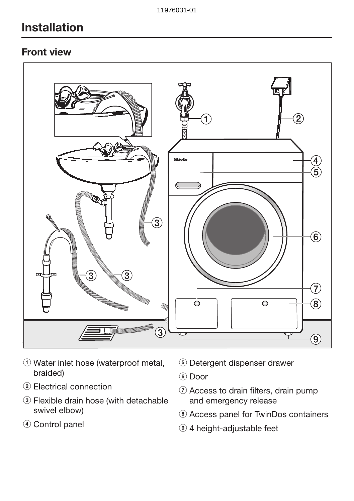### Front view



- 1) Water inlet hose (waterproof metal, braided)
- 2) Electrical connection
- 3 Flexible drain hose (with detachable swivel elbow)
- d Control panel
- **6** Detergent dispenser drawer
- $6$  Door
- $\circled{7}$  Access to drain filters, drain pump and emergency release
- <sup>8</sup> Access panel for TwinDos containers
- <sup>9</sup> 4 height-adjustable feet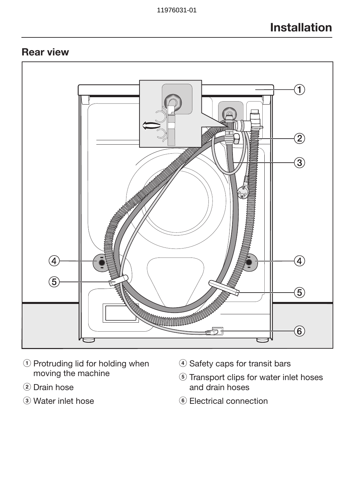## Rear view



- a Protruding lid for holding when moving the machine
- (2) Drain hose
- 3 Water inlet hose
- d Safety caps for transit bars
- **6** Transport clips for water inlet hoses and drain hoses
- <sup>6</sup> Electrical connection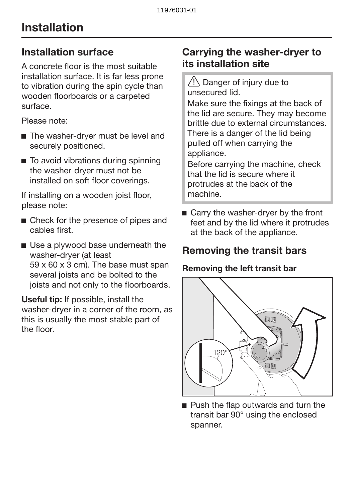## Installation surface

A concrete floor is the most suitable installation surface. It is far less prone to vibration during the spin cycle than wooden floorboards or a carpeted surface.

Please note:

- The washer-dryer must be level and securely positioned.
- To avoid vibrations during spinning the washer-dryer must not be installed on soft floor coverings.

If installing on a wooden joist floor, please note:

- Check for the presence of pipes and cables first.
- Use a plywood base underneath the washer-dryer (at least 59 x 60 x 3 cm). The base must span several joists and be bolted to the joists and not only to the floorboards.

Useful tip: If possible, install the washer-dryer in a corner of the room, as this is usually the most stable part of the floor.

## Carrying the washer-dryer to its installation site

 Danger of injury due to unsecured lid.

Make sure the fixings at the back of the lid are secure. They may become brittle due to external circumstances. There is a danger of the lid being pulled off when carrying the appliance.

Before carrying the machine, check that the lid is secure where it protrudes at the back of the machine.

■ Carry the washer-dryer by the front feet and by the lid where it protrudes at the back of the appliance.

## Removing the transit bars

### Removing the left transit bar



Push the flap outwards and turn the transit bar 90° using the enclosed spanner.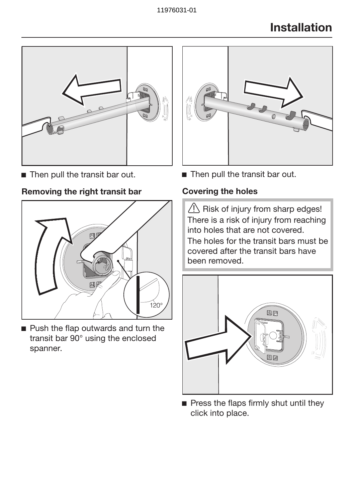

■ Then pull the transit bar out.

### Removing the right transit bar



**Push the flap outwards and turn the** transit bar 90° using the enclosed spanner.



■ Then pull the transit bar out.

### Covering the holes

 $\langle \cdot \rangle$  Risk of injury from sharp edges! There is a risk of injury from reaching into holes that are not covered.

The holes for the transit bars must be covered after the transit bars have been removed.



 $\blacksquare$  Press the flaps firmly shut until they click into place.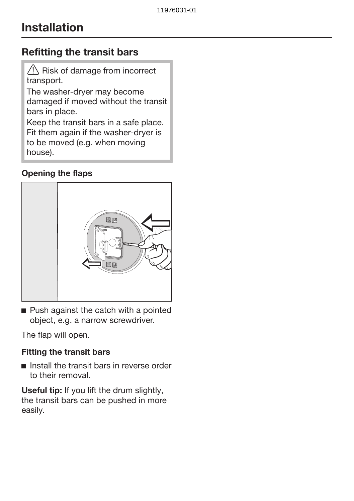## Refitting the transit bars

 $\bigwedge$  Risk of damage from incorrect transport.

The washer-dryer may become damaged if moved without the transit bars in place.

Keep the transit bars in a safe place. Fit them again if the washer-dryer is to be moved (e.g. when moving house).

### Opening the flaps



Push against the catch with a pointed object, e.g. a narrow screwdriver.

The flap will open.

### Fitting the transit bars

 $\blacksquare$  Install the transit bars in reverse order to their removal.

Useful tip: If you lift the drum slightly, the transit bars can be pushed in more easily.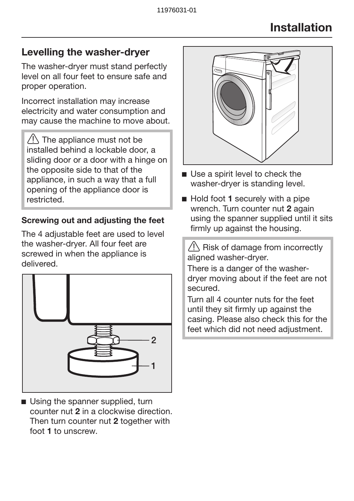## Levelling the washer-dryer

The washer-dryer must stand perfectly level on all four feet to ensure safe and proper operation.

Incorrect installation may increase electricity and water consumption and may cause the machine to move about.

 $\sqrt{1}$  The appliance must not be installed behind a lockable door, a sliding door or a door with a hinge on the opposite side to that of the appliance, in such a way that a full opening of the appliance door is restricted.

### Screwing out and adjusting the feet

The 4 adjustable feet are used to level the washer-dryer. All four feet are screwed in when the appliance is delivered.



Using the spanner supplied, turn counter nut 2 in a clockwise direction. Then turn counter nut 2 together with foot 1 to unscrew.



- Use a spirit level to check the washer-dryer is standing level.
- $\blacksquare$  Hold foot 1 securely with a pipe wrench. Turn counter nut 2 again using the spanner supplied until it sits firmly up against the housing.

 $\sqrt{N}$  Risk of damage from incorrectly aligned washer-dryer.

There is a danger of the washerdryer moving about if the feet are not secured.

Turn all 4 counter nuts for the feet until they sit firmly up against the casing. Please also check this for the feet which did not need adjustment.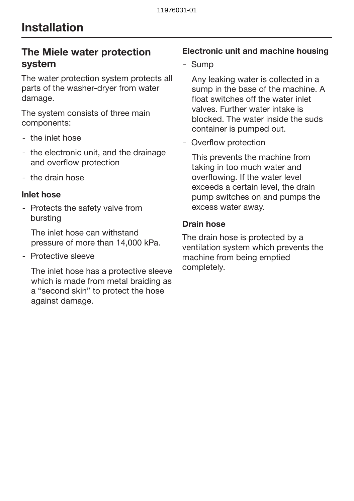## The Miele water protection system

The water protection system protects all parts of the washer-dryer from water damage.

The system consists of three main components:

- the inlet hose
- the electronic unit, and the drainage and overflow protection
- the drain hose

#### Inlet hose

- Protects the safety valve from bursting

The inlet hose can withstand pressure of more than 14,000 kPa.

- Protective sleeve

The inlet hose has a protective sleeve which is made from metal braiding as a "second skin" to protect the hose against damage.

### Electronic unit and machine housing

- Sump

Any leaking water is collected in a sump in the base of the machine. A float switches off the water inlet valves. Further water intake is blocked. The water inside the suds container is pumped out.

- Overflow protection

This prevents the machine from taking in too much water and overflowing. If the water level exceeds a certain level, the drain pump switches on and pumps the excess water away.

### Drain hose

The drain hose is protected by a ventilation system which prevents the machine from being emptied completely.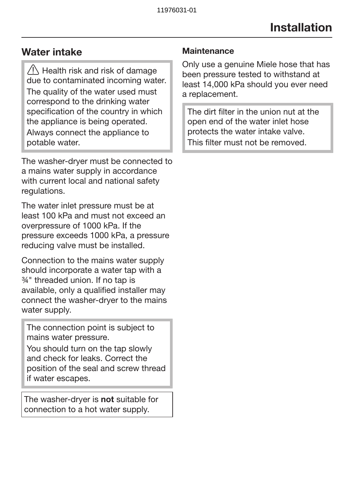## Water intake

 $\sqrt{N}$  Health risk and risk of damage due to contaminated incoming water. The quality of the water used must correspond to the drinking water specification of the country in which the appliance is being operated. Always connect the appliance to potable water.

The washer-dryer must be connected to a mains water supply in accordance with current local and national safety regulations.

The water inlet pressure must be at least 100 kPa and must not exceed an overpressure of 1000 kPa. If the pressure exceeds 1000 kPa, a pressure reducing valve must be installed.

Connection to the mains water supply should incorporate a water tap with a ¾" threaded union. If no tap is available, only a qualified installer may connect the washer-dryer to the mains water supply.

The connection point is subject to mains water pressure.

You should turn on the tap slowly and check for leaks. Correct the position of the seal and screw thread if water escapes.

The washer-dryer is not suitable for connection to a hot water supply.

### **Maintenance**

Only use a genuine Miele hose that has been pressure tested to withstand at least 14,000 kPa should you ever need a replacement.

The dirt filter in the union nut at the open end of the water inlet hose protects the water intake valve. This filter must not be removed.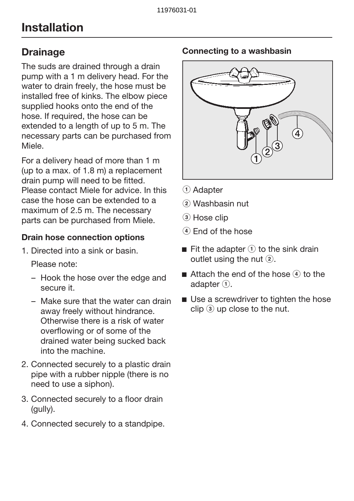## **Drainage**

The suds are drained through a drain pump with a 1 m delivery head. For the water to drain freely, the hose must be installed free of kinks. The elbow piece supplied hooks onto the end of the hose. If required, the hose can be extended to a length of up to 5 m. The necessary parts can be purchased from Miele.

For a delivery head of more than 1 m (up to a max. of 1.8 m) a replacement drain pump will need to be fitted. Please contact Miele for advice. In this case the hose can be extended to a maximum of 2.5 m. The necessary parts can be purchased from Miele.

### Drain hose connection options

1. Directed into a sink or basin.

Please note:

- Hook the hose over the edge and secure it.
- Make sure that the water can drain away freely without hindrance. Otherwise there is a risk of water overflowing or of some of the drained water being sucked back into the machine.
- 2. Connected securely to a plastic drain pipe with a rubber nipple (there is no need to use a siphon).
- 3. Connected securely to a floor drain (gully).
- 4. Connected securely to a standpipe.

#### Connecting to a washbasin



- **1** Adapter
- b Washbasin nut
- 3) Hose clip
- $\left(4\right)$  End of the hose
- Fit the adapter  $\Omega$  to the sink drain outlet using the nut  $(2)$ .
- Attach the end of the hose  $\widehat{A}$  to the adapter  $(1)$ .
- Use a screwdriver to tighten the hose  $\operatorname{clin}$   $\widehat{a}$  up close to the nut.